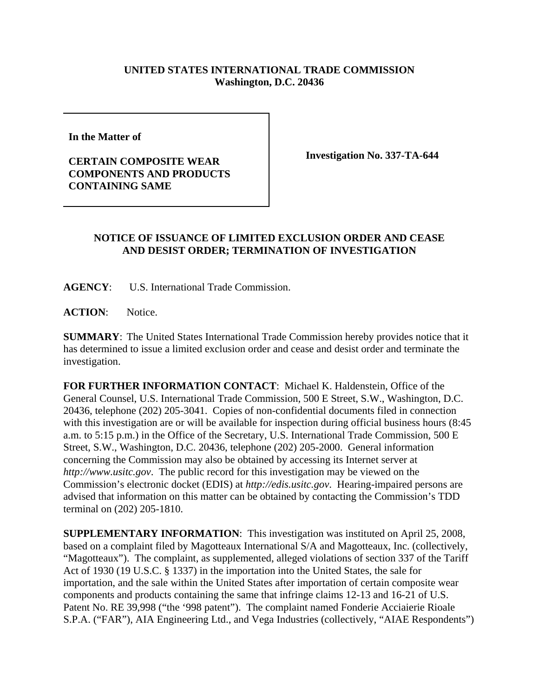## **UNITED STATES INTERNATIONAL TRADE COMMISSION Washington, D.C. 20436**

**In the Matter of** 

## **CERTAIN COMPOSITE WEAR COMPONENTS AND PRODUCTS CONTAINING SAME**

**Investigation No. 337-TA-644**

## **NOTICE OF ISSUANCE OF LIMITED EXCLUSION ORDER AND CEASE AND DESIST ORDER; TERMINATION OF INVESTIGATION**

**AGENCY**: U.S. International Trade Commission.

ACTION: Notice.

**SUMMARY**: The United States International Trade Commission hereby provides notice that it has determined to issue a limited exclusion order and cease and desist order and terminate the investigation.

**FOR FURTHER INFORMATION CONTACT**: Michael K. Haldenstein, Office of the General Counsel, U.S. International Trade Commission, 500 E Street, S.W., Washington, D.C. 20436, telephone (202) 205-3041. Copies of non-confidential documents filed in connection with this investigation are or will be available for inspection during official business hours (8:45 a.m. to 5:15 p.m.) in the Office of the Secretary, U.S. International Trade Commission, 500 E Street, S.W., Washington, D.C. 20436, telephone (202) 205-2000. General information concerning the Commission may also be obtained by accessing its Internet server at *http://www.usitc.gov*. The public record for this investigation may be viewed on the Commission's electronic docket (EDIS) at *http://edis.usitc.gov*. Hearing-impaired persons are advised that information on this matter can be obtained by contacting the Commission's TDD terminal on (202) 205-1810.

**SUPPLEMENTARY INFORMATION**: This investigation was instituted on April 25, 2008, based on a complaint filed by Magotteaux International S/A and Magotteaux, Inc. (collectively, "Magotteaux"). The complaint, as supplemented, alleged violations of section 337 of the Tariff Act of 1930 (19 U.S.C. § 1337) in the importation into the United States, the sale for importation, and the sale within the United States after importation of certain composite wear components and products containing the same that infringe claims 12-13 and 16-21 of U.S. Patent No. RE 39,998 ("the '998 patent"). The complaint named Fonderie Acciaierie Rioale S.P.A. ("FAR"), AIA Engineering Ltd., and Vega Industries (collectively, "AIAE Respondents")